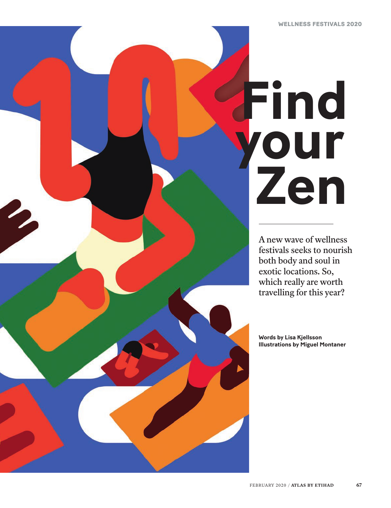# **Find your Zen**

A new wave of wellness festivals seeks to nourish both body and soul in exotic locations. So, which really are worth travelling for this year?

**Words by Lisa Kjellsson Illustrations by Miguel Montaner**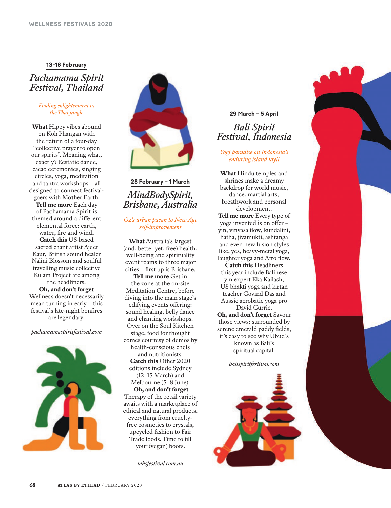### **13–16 February**

## *Pachamama Spirit Festival, Thailand*

### *Finding enlightenment in the Thai jungle*

**What** Hippy vibes abound on Koh Phangan with the return of a four-day "collective prayer to open our spirits". Meaning what, exactly? Ecstatic dance, cacao ceremonies, singing circles, yoga, meditation and tantra workshops – all designed to connect festivalgoers with Mother Earth. **Tell me more** Each day of Pachamama Spirit is themed around a different elemental force: earth, water, fire and wind. **Catch this** US-based sacred chant artist Ajeet Kaur, British sound healer Nalini Blossom and soulful travelling music collective Kulam Project are among the headliners. **Oh, and don't forget**  Wellness doesn't necessarily mean turning in early – this festival's late-night bonfires

> are legendary. –

*pachamamaspiritfestival.com*





# **28 February – 1 March** *MindBodySpirit, Brisbane, Australia*

*Oz's urban paean to New Age self-improvement* 

**What** Australia's largest (and, better yet, free) health, well-being and spirituality event roams to three major cities – first up is Brisbane.

**Tell me more** Get in the zone at the on-site Meditation Centre, before diving into the main stage's edifying events offering: sound healing, belly dance and chanting workshops. Over on the Soul Kitchen stage, food for thought comes courtesy of demos by health-conscious chefs and nutritionists. **Catch this** Other 2020 editions include Sydney (12–15 March) and Melbourne (5–8 June). **Oh, and don't forget**  Therapy of the retail variety awaits with a marketplace of ethical and natural products, everything from crueltyfree cosmetics to crystals, upcycled fashion to Fair Trade foods. Time to fill your (vegan) boots.

> – *mbsfestival.com.au*

## **29 March – 5 April** *Bali Spirit Festival, Indonesia*

*Yogi paradise on Indonesia's enduring island idyll*

**What** Hindu temples and shrines make a dreamy backdrop for world music, dance, martial arts, breathwork and personal development. **Tell me more** Every type of yoga invented is on offer – yin, vinyasa flow, kundalini, hatha, jivamukti, ashtanga and even new fusion styles like, yes, heavy-metal yoga, laughter yoga and Afro flow. **Catch this** Headliners this year include Balinese yin expert Eka Kailash, US bhakti yoga and kirtan teacher Govind Das and Aussie acrobatic yoga pro David Currie. **Oh, and don't forget** Savour those views: surrounded by serene emerald paddy fields, it's easy to see why Ubud's

known as Bali's spiritual capital. –

*balispiritfestival.com*

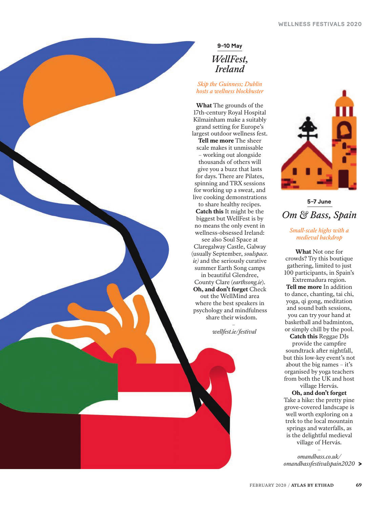# **9–10 May** *WellFest, Ireland*

## *Skip the Guinness; Dublin hosts a wellness blockbuster*

**What** The grounds of the 17th-century Royal Hospital Kilmainham make a suitably grand setting for Europe's largest outdoor wellness fest. **Tell me more** The sheer scale makes it unmissable – working out alongside thousands of others will give you a buzz that lasts for days. There are Pilates, spinning and TRX sessions for working up a sweat, and live cooking demonstrations

to share healthy recipes. **Catch this** It might be the biggest but WellFest is by no means the only event in wellness-obsessed Ireland:

see also Soul Space at Claregalway Castle, Galway (usually September, *soulspace. ie)* and the seriously curative summer Earth Song camps

in beautiful Glendree, County Clare (*earthsong.ie*). **Oh, and don't forget** Check out the WellMind area where the best speakers in psychology and mindfulness share their wisdom.

> – *wellfest.ie/festival*



# **5–7 June**  *Om & Bass, Spain*

*Small-scale highs with a medieval backdrop*

**What** Not one for crowds? Try this boutique gathering, limited to just 100 participants, in Spain's Extremadura region. **Tell me more** In addition to dance, chanting, tai chi, yoga, qi gong, meditation and sound bath sessions, you can try your hand at basketball and badminton, or simply chill by the pool.

**Catch this** Reggae DJs provide the campfire soundtrack after nightfall, but this low-key event's not about the big names – it's organised by yoga teachers from both the UK and host village Hervás.

**Oh, and don't forget** Take a hike: the pretty pine grove-covered landscape is well worth exploring on a trek to the local mountain springs and waterfalls, as is the delightful medieval village of Hervás.

– *omandbass.co.uk/ omandbassfestivalspain2020*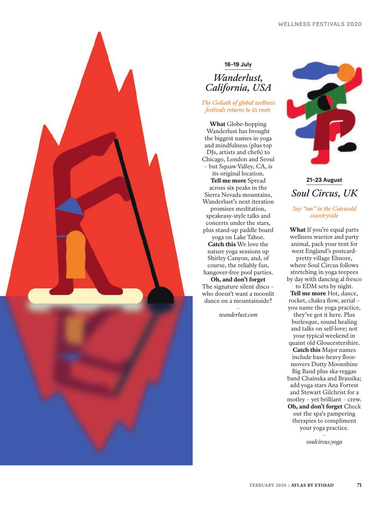

## **16–19 July**

# *Wanderlust, California, USA*

## *The Goliath of global wellness festivals returns to its roots*

**What** Globe-hopping Wanderlust has brought the biggest names in yoga and mindfulness (plus top DJs, artists and chefs) to Chicago, London and Seoul – but Squaw Valley, CA, is its original location. **Tell me more** Spread across six peaks in the Sierra Nevada mountains, Wanderlust's next iteration promises meditation, speakeasy-style talks and concerts under the stars, plus stand-up paddle board yoga on Lake Tahoe. **Catch this** We love the nature yoga sessions up Shirley Canyon, and, of course, the reliably fun, hangover-free pool parties. **Oh, and don't forget** The signature silent disco – who doesn't want a moonlit dance on a mountainside? –

*wanderlust.com*



**21–23 August** *Soul Circus, UK Say "om" in the Cotswold* 

*countryside* 

**What** If you're equal parts wellness warrior and party animal, pack your tent for west England's postcardpretty village Elmore, where Soul Circus follows stretching in yoga teepees by day with dancing al fresco to EDM sets by night. **Tell me more** Hot, dance, rocket, chakra flow, aerial – you name the yoga practice, they've got it here. Plus burlesque, sound healing and talks on self-love; not your typical weekend in quaint old Gloucestershire. **Catch this** Major names include bass-heavy floormovers Dutty Moonshine Big Band plus ska-reggae band Chainska and Brassika; add yoga stars Ana Forrest and Stewart Gilchrist for a motley – yet brilliant – crew. **Oh, and don't forget** Check out the spa's pampering therapies to compliment your yoga practice. –

*soulcircus.yoga*